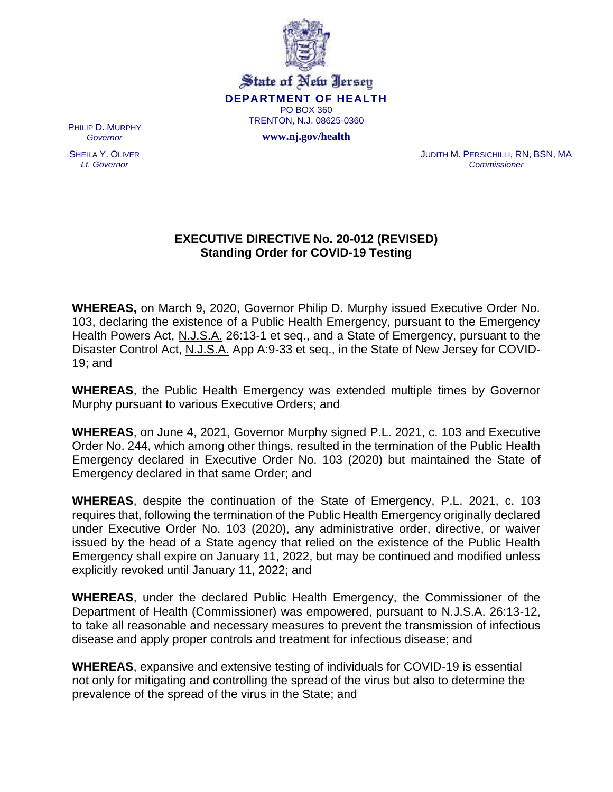

State of New Jersey **DEPARTMENT OF HEALTH** PO BOX 360 TRENTON, N.J. 08625-0360

**www.nj.gov/health**

PHILIP D. MURPHY *Governor*

SHEILA Y. OLIVER *Lt. Governor*

JUDITH M. PERSICHILLI, RN, BSN, MA *Commissioner*

## **EXECUTIVE DIRECTIVE No. 20-012 (REVISED) Standing Order for COVID-19 Testing**

**WHEREAS,** on March 9, 2020, Governor Philip D. Murphy issued Executive Order No. 103, declaring the existence of a Public Health Emergency, pursuant to the Emergency Health Powers Act, N.J.S.A. 26:13-1 et seq., and a State of Emergency, pursuant to the Disaster Control Act, N.J.S.A. App A:9-33 et seq., in the State of New Jersey for COVID-19; and

**WHEREAS**, the Public Health Emergency was extended multiple times by Governor Murphy pursuant to various Executive Orders; and

**WHEREAS**, on June 4, 2021, Governor Murphy signed P.L. 2021, c. 103 and Executive Order No. 244, which among other things, resulted in the termination of the Public Health Emergency declared in Executive Order No. 103 (2020) but maintained the State of Emergency declared in that same Order; and

**WHEREAS**, despite the continuation of the State of Emergency, P.L. 2021, c. 103 requires that, following the termination of the Public Health Emergency originally declared under Executive Order No. 103 (2020), any administrative order, directive, or waiver issued by the head of a State agency that relied on the existence of the Public Health Emergency shall expire on January 11, 2022, but may be continued and modified unless explicitly revoked until January 11, 2022; and

**WHEREAS**, under the declared Public Health Emergency, the Commissioner of the Department of Health (Commissioner) was empowered, pursuant to N.J.S.A. 26:13-12, to take all reasonable and necessary measures to prevent the transmission of infectious disease and apply proper controls and treatment for infectious disease; and

**WHEREAS**, expansive and extensive testing of individuals for COVID-19 is essential not only for mitigating and controlling the spread of the virus but also to determine the prevalence of the spread of the virus in the State; and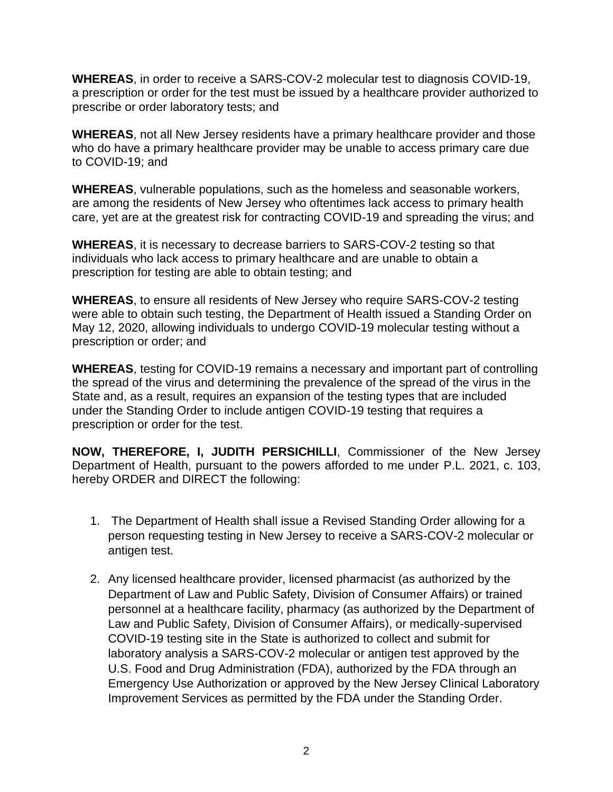**WHEREAS**, in order to receive a SARS-COV-2 molecular test to diagnosis COVID-19, a prescription or order for the test must be issued by a healthcare provider authorized to prescribe or order laboratory tests; and

**WHEREAS**, not all New Jersey residents have a primary healthcare provider and those who do have a primary healthcare provider may be unable to access primary care due to COVID-19; and

**WHEREAS**, vulnerable populations, such as the homeless and seasonable workers, are among the residents of New Jersey who oftentimes lack access to primary health care, yet are at the greatest risk for contracting COVID-19 and spreading the virus; and

**WHEREAS**, it is necessary to decrease barriers to SARS-COV-2 testing so that individuals who lack access to primary healthcare and are unable to obtain a prescription for testing are able to obtain testing; and

**WHEREAS**, to ensure all residents of New Jersey who require SARS-COV-2 testing were able to obtain such testing, the Department of Health issued a Standing Order on May 12, 2020, allowing individuals to undergo COVID-19 molecular testing without a prescription or order; and

**WHEREAS**, testing for COVID-19 remains a necessary and important part of controlling the spread of the virus and determining the prevalence of the spread of the virus in the State and, as a result, requires an expansion of the testing types that are included under the Standing Order to include antigen COVID-19 testing that requires a prescription or order for the test.

**NOW, THEREFORE, I, JUDITH PERSICHILLI**, Commissioner of the New Jersey Department of Health, pursuant to the powers afforded to me under P.L. 2021, c. 103, hereby ORDER and DIRECT the following:

- 1. The Department of Health shall issue a Revised Standing Order allowing for a person requesting testing in New Jersey to receive a SARS-COV-2 molecular or antigen test.
- 2. Any licensed healthcare provider, licensed pharmacist (as authorized by the Department of Law and Public Safety, Division of Consumer Affairs) or trained personnel at a healthcare facility, pharmacy (as authorized by the Department of Law and Public Safety, Division of Consumer Affairs), or medically-supervised COVID-19 testing site in the State is authorized to collect and submit for laboratory analysis a SARS-COV-2 molecular or antigen test approved by the U.S. Food and Drug Administration (FDA), authorized by the FDA through an Emergency Use Authorization or approved by the New Jersey Clinical Laboratory Improvement Services as permitted by the FDA under the Standing Order.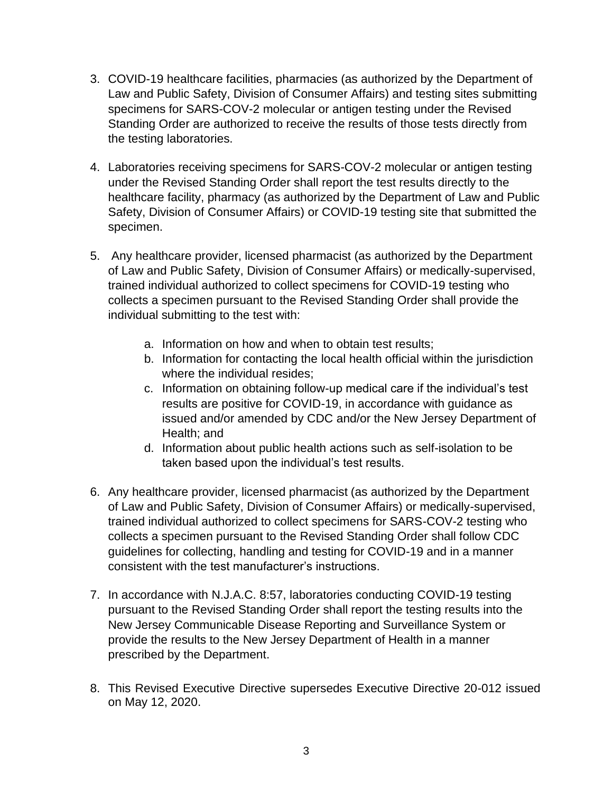- 3. COVID-19 healthcare facilities, pharmacies (as authorized by the Department of Law and Public Safety, Division of Consumer Affairs) and testing sites submitting specimens for SARS-COV-2 molecular or antigen testing under the Revised Standing Order are authorized to receive the results of those tests directly from the testing laboratories.
- 4. Laboratories receiving specimens for SARS-COV-2 molecular or antigen testing under the Revised Standing Order shall report the test results directly to the healthcare facility, pharmacy (as authorized by the Department of Law and Public Safety, Division of Consumer Affairs) or COVID-19 testing site that submitted the specimen.
- 5. Any healthcare provider, licensed pharmacist (as authorized by the Department of Law and Public Safety, Division of Consumer Affairs) or medically-supervised, trained individual authorized to collect specimens for COVID-19 testing who collects a specimen pursuant to the Revised Standing Order shall provide the individual submitting to the test with:
	- a. Information on how and when to obtain test results;
	- b. Information for contacting the local health official within the jurisdiction where the individual resides;
	- c. Information on obtaining follow-up medical care if the individual's test results are positive for COVID-19, in accordance with guidance as issued and/or amended by CDC and/or the New Jersey Department of Health; and
	- d. Information about public health actions such as self-isolation to be taken based upon the individual's test results.
- 6. Any healthcare provider, licensed pharmacist (as authorized by the Department of Law and Public Safety, Division of Consumer Affairs) or medically-supervised, trained individual authorized to collect specimens for SARS-COV-2 testing who collects a specimen pursuant to the Revised Standing Order shall follow CDC guidelines for collecting, handling and testing for COVID-19 and in a manner consistent with the test manufacturer's instructions.
- 7. In accordance with N.J.A.C. 8:57, laboratories conducting COVID-19 testing pursuant to the Revised Standing Order shall report the testing results into the New Jersey Communicable Disease Reporting and Surveillance System or provide the results to the New Jersey Department of Health in a manner prescribed by the Department.
- 8. This Revised Executive Directive supersedes Executive Directive 20-012 issued on May 12, 2020.